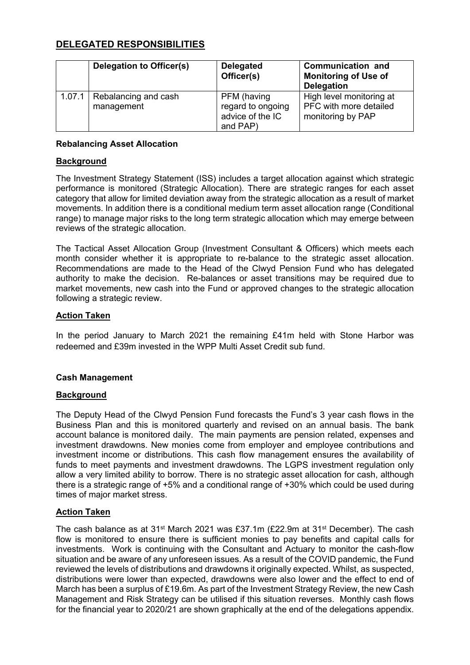# **DELEGATED RESPONSIBILITIES**

|        | Delegation to Officer(s)           | <b>Delegated</b><br>Officer(s)                                   | Communication and<br><b>Monitoring of Use of</b><br><b>Delegation</b>   |
|--------|------------------------------------|------------------------------------------------------------------|-------------------------------------------------------------------------|
| 1.07.1 | Rebalancing and cash<br>management | PFM (having<br>regard to ongoing<br>advice of the IC<br>and PAP) | High level monitoring at<br>PFC with more detailed<br>monitoring by PAP |

# **Rebalancing Asset Allocation**

### **Background**

The Investment Strategy Statement (ISS) includes a target allocation against which strategic performance is monitored (Strategic Allocation). There are strategic ranges for each asset category that allow for limited deviation away from the strategic allocation as a result of market movements. In addition there is a conditional medium term asset allocation range (Conditional range) to manage major risks to the long term strategic allocation which may emerge between reviews of the strategic allocation.

The Tactical Asset Allocation Group (Investment Consultant & Officers) which meets each month consider whether it is appropriate to re-balance to the strategic asset allocation. Recommendations are made to the Head of the Clwyd Pension Fund who has delegated authority to make the decision. Re-balances or asset transitions may be required due to market movements, new cash into the Fund or approved changes to the strategic allocation following a strategic review.

### **Action Taken**

In the period January to March 2021 the remaining £41m held with Stone Harbor was redeemed and £39m invested in the WPP Multi Asset Credit sub fund.

# **Cash Management**

#### **Background**

The Deputy Head of the Clwyd Pension Fund forecasts the Fund's 3 year cash flows in the Business Plan and this is monitored quarterly and revised on an annual basis. The bank account balance is monitored daily. The main payments are pension related, expenses and investment drawdowns. New monies come from employer and employee contributions and investment income or distributions. This cash flow management ensures the availability of funds to meet payments and investment drawdowns. The LGPS investment regulation only allow a very limited ability to borrow. There is no strategic asset allocation for cash, although there is a strategic range of +5% and a conditional range of +30% which could be used during times of major market stress.

#### **Action Taken**

The cash balance as at 31st March 2021 was £37.1m (£22.9m at 31st December). The cash flow is monitored to ensure there is sufficient monies to pay benefits and capital calls for investments. Work is continuing with the Consultant and Actuary to monitor the cash-flow situation and be aware of any unforeseen issues. As a result of the COVID pandemic, the Fund reviewed the levels of distributions and drawdowns it originally expected. Whilst, as suspected, distributions were lower than expected, drawdowns were also lower and the effect to end of March has been a surplus of £19.6m. As part of the Investment Strategy Review, the new Cash Management and Risk Strategy can be utilised if this situation reverses. Monthly cash flows for the financial year to 2020/21 are shown graphically at the end of the delegations appendix.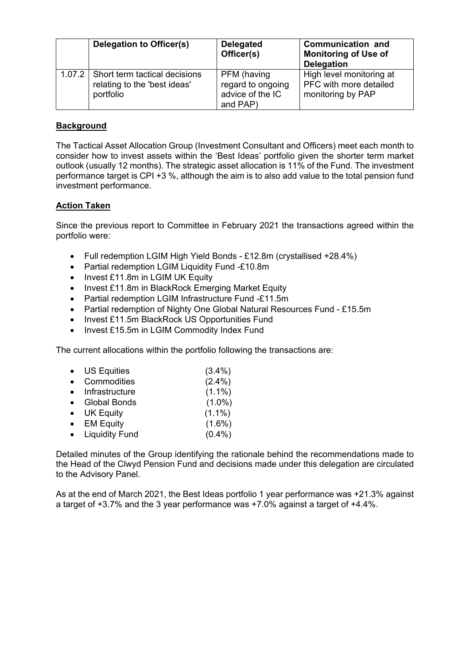| Delegation to Officer(s)                                                            | <b>Delegated</b><br>Officer(s)                                   | <b>Communication and</b><br><b>Monitoring of Use of</b><br><b>Delegation</b> |
|-------------------------------------------------------------------------------------|------------------------------------------------------------------|------------------------------------------------------------------------------|
| 1.07.2   Short term tactical decisions<br>relating to the 'best ideas'<br>portfolio | PFM (having<br>regard to ongoing<br>advice of the IC<br>and PAP) | High level monitoring at<br>PFC with more detailed<br>monitoring by PAP      |

# **Background**

The Tactical Asset Allocation Group (Investment Consultant and Officers) meet each month to consider how to invest assets within the 'Best Ideas' portfolio given the shorter term market outlook (usually 12 months). The strategic asset allocation is 11% of the Fund. The investment performance target is CPI +3 %, although the aim is to also add value to the total pension fund investment performance.

### **Action Taken**

Since the previous report to Committee in February 2021 the transactions agreed within the portfolio were:

- Full redemption LGIM High Yield Bonds £12.8m (crystallised +28.4%)
- Partial redemption LGIM Liquidity Fund -£10.8m
- Invest £11.8m in LGIM UK Equity
- Invest £11.8m in BlackRock Emerging Market Equity
- Partial redemption LGIM Infrastructure Fund -£11.5m
- Partial redemption of Nighty One Global Natural Resources Fund £15.5m
- Invest £11.5m BlackRock US Opportunities Fund
- Invest £15.5m in LGIM Commodity Index Fund

The current allocations within the portfolio following the transactions are:

- US Equities (3.4%)
- Commodities (2.4%)
- Infrastructure (1.1%)
- Global Bonds (1.0%)
- UK Equity (1.1%)
- EM Equity (1.6%)
- Liquidity Fund (0.4%)

Detailed minutes of the Group identifying the rationale behind the recommendations made to the Head of the Clwyd Pension Fund and decisions made under this delegation are circulated to the Advisory Panel.

As at the end of March 2021, the Best Ideas portfolio 1 year performance was +21.3% against a target of +3.7% and the 3 year performance was +7.0% against a target of +4.4%.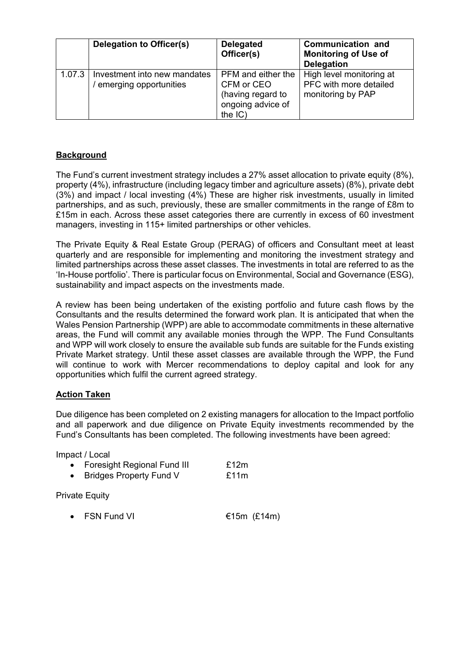|        | Delegation to Officer(s)                               | <b>Delegated</b><br>Officer(s)                                                                | <b>Communication and</b><br><b>Monitoring of Use of</b><br><b>Delegation</b> |
|--------|--------------------------------------------------------|-----------------------------------------------------------------------------------------------|------------------------------------------------------------------------------|
| 1.07.3 | Investment into new mandates<br>emerging opportunities | PFM and either the<br>CFM or CEO<br>(having regard to<br>ongoing advice of<br>the $ C\rangle$ | High level monitoring at<br>PFC with more detailed<br>monitoring by PAP      |

# **Background**

The Fund's current investment strategy includes a 27% asset allocation to private equity (8%), property (4%), infrastructure (including legacy timber and agriculture assets) (8%), private debt (3%) and impact / local investing (4%) These are higher risk investments, usually in limited partnerships, and as such, previously, these are smaller commitments in the range of £8m to £15m in each. Across these asset categories there are currently in excess of 60 investment managers, investing in 115+ limited partnerships or other vehicles.

The Private Equity & Real Estate Group (PERAG) of officers and Consultant meet at least quarterly and are responsible for implementing and monitoring the investment strategy and limited partnerships across these asset classes. The investments in total are referred to as the 'In-House portfolio'. There is particular focus on Environmental, Social and Governance (ESG), sustainability and impact aspects on the investments made.

A review has been being undertaken of the existing portfolio and future cash flows by the Consultants and the results determined the forward work plan. It is anticipated that when the Wales Pension Partnership (WPP) are able to accommodate commitments in these alternative areas, the Fund will commit any available monies through the WPP. The Fund Consultants and WPP will work closely to ensure the available sub funds are suitable for the Funds existing Private Market strategy. Until these asset classes are available through the WPP, the Fund will continue to work with Mercer recommendations to deploy capital and look for any opportunities which fulfil the current agreed strategy.

# **Action Taken**

Due diligence has been completed on 2 existing managers for allocation to the Impact portfolio and all paperwork and due diligence on Private Equity investments recommended by the Fund's Consultants has been completed. The following investments have been agreed:

Impact / Local

| <b>Foresight Regional Fund III</b> | £12m |
|------------------------------------|------|
| <b>Bridges Property Fund V</b>     | £11m |

Private Equity

• FSN Fund VI  $€15m$   $£14m$ )